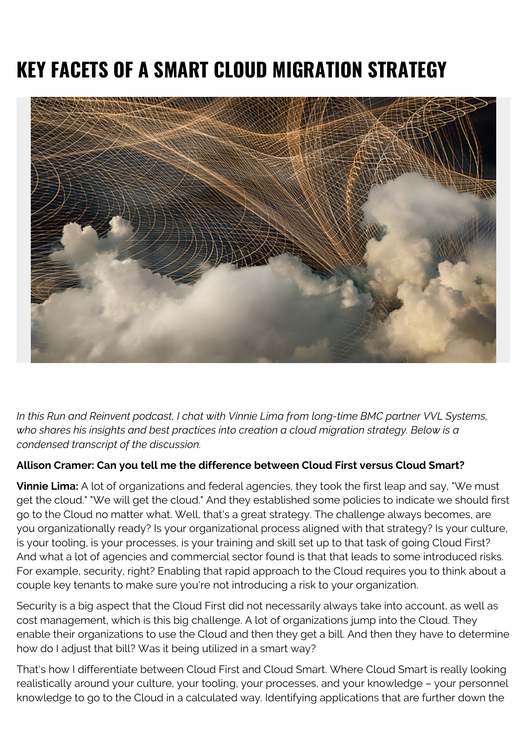# **KEY FACETS OF A SMART CLOUD MIGRATION STRATEGY**



*In this Run and Reinvent podcast, I chat with Vinnie Lima from long-time BMC partner VVL Systems, who shares his insights and best practices into creation a cloud migration strategy. Below is a condensed transcript of the discussion.*

#### **Allison Cramer: Can you tell me the difference between Cloud First versus Cloud Smart?**

**Vinnie Lima:** A lot of organizations and federal agencies, they took the first leap and say, "We must get the cloud." "We will get the cloud." And they established some policies to indicate we should first go to the Cloud no matter what. Well, that's a great strategy. The challenge always becomes, are you organizationally ready? Is your organizational process aligned with that strategy? Is your culture, is your tooling, is your processes, is your training and skill set up to that task of going Cloud First? And what a lot of agencies and commercial sector found is that that leads to some introduced risks. For example, security, right? Enabling that rapid approach to the Cloud requires you to think about a couple key tenants to make sure you're not introducing a risk to your organization.

Security is a big aspect that the Cloud First did not necessarily always take into account, as well as cost management, which is this big challenge. A lot of organizations jump into the Cloud. They enable their organizations to use the Cloud and then they get a bill. And then they have to determine how do I adjust that bill? Was it being utilized in a smart way?

That's how I differentiate between Cloud First and Cloud Smart. Where Cloud Smart is really looking realistically around your culture, your tooling, your processes, and your knowledge – your personnel knowledge to go to the Cloud in a calculated way. Identifying applications that are further down the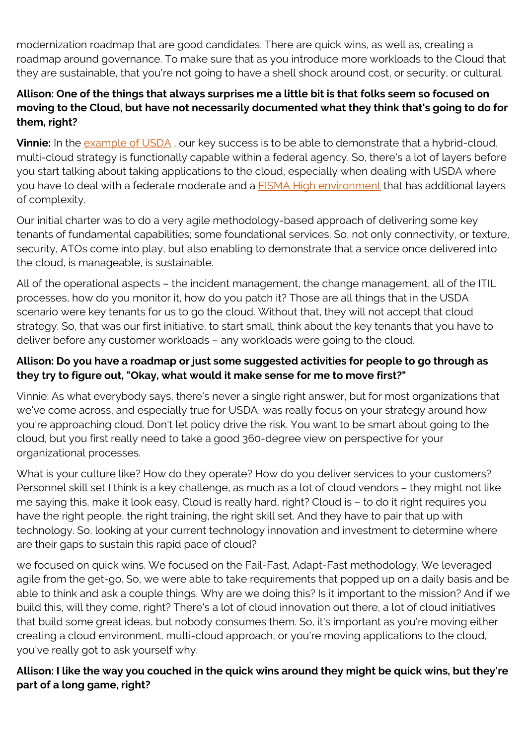modernization roadmap that are good candidates. There are quick wins, as well as, creating a roadmap around governance. To make sure that as you introduce more workloads to the Cloud that they are sustainable, that you're not going to have a shell shock around cost, or security, or cultural.

## **Allison: One of the things that always surprises me a little bit is that folks seem so focused on moving to the Cloud, but have not necessarily documented what they think that's going to do for them, right?**

**Vinnie:** In the [example of USDA](https://blogs.bmc.com/blogs/how-the-usda-takes-a-pragmatic-cloud-smart-approach-to-public-cloud/), our key success is to be able to demonstrate that a hybrid-cloud, multi-cloud strategy is functionally capable within a federal agency. So, there's a lot of layers before you start talking about taking applications to the cloud, especially when dealing with USDA where you have to deal with a federate moderate and a **[FISMA High environment](https://digitalguardian.com/blog/what-fisma-compliance-fisma-definition-requirements-penalties-and-more)** that has additional layers of complexity.

Our initial charter was to do a very agile methodology-based approach of delivering some key tenants of fundamental capabilities; some foundational services. So, not only connectivity, or texture, security, ATOs come into play, but also enabling to demonstrate that a service once delivered into the cloud, is manageable, is sustainable.

All of the operational aspects – the incident management, the change management, all of the ITIL processes, how do you monitor it, how do you patch it? Those are all things that in the USDA scenario were key tenants for us to go the cloud. Without that, they will not accept that cloud strategy. So, that was our first initiative, to start small, think about the key tenants that you have to deliver before any customer workloads – any workloads were going to the cloud.

## **Allison: Do you have a roadmap or just some suggested activities for people to go through as they try to figure out, "Okay, what would it make sense for me to move first?"**

Vinnie: As what everybody says, there's never a single right answer, but for most organizations that we've come across, and especially true for USDA, was really focus on your strategy around how you're approaching cloud. Don't let policy drive the risk. You want to be smart about going to the cloud, but you first really need to take a good 360-degree view on perspective for your organizational processes.

What is your culture like? How do they operate? How do you deliver services to your customers? Personnel skill set I think is a key challenge, as much as a lot of cloud vendors – they might not like me saying this, make it look easy. Cloud is really hard, right? Cloud is – to do it right requires you have the right people, the right training, the right skill set. And they have to pair that up with technology. So, looking at your current technology innovation and investment to determine where are their gaps to sustain this rapid pace of cloud?

we focused on quick wins. We focused on the Fail-Fast, Adapt-Fast methodology. We leveraged agile from the get-go. So, we were able to take requirements that popped up on a daily basis and be able to think and ask a couple things. Why are we doing this? Is it important to the mission? And if we build this, will they come, right? There's a lot of cloud innovation out there, a lot of cloud initiatives that build some great ideas, but nobody consumes them. So, it's important as you're moving either creating a cloud environment, multi-cloud approach, or you're moving applications to the cloud, you've really got to ask yourself why.

**Allison: I like the way you couched in the quick wins around they might be quick wins, but they're part of a long game, right?**